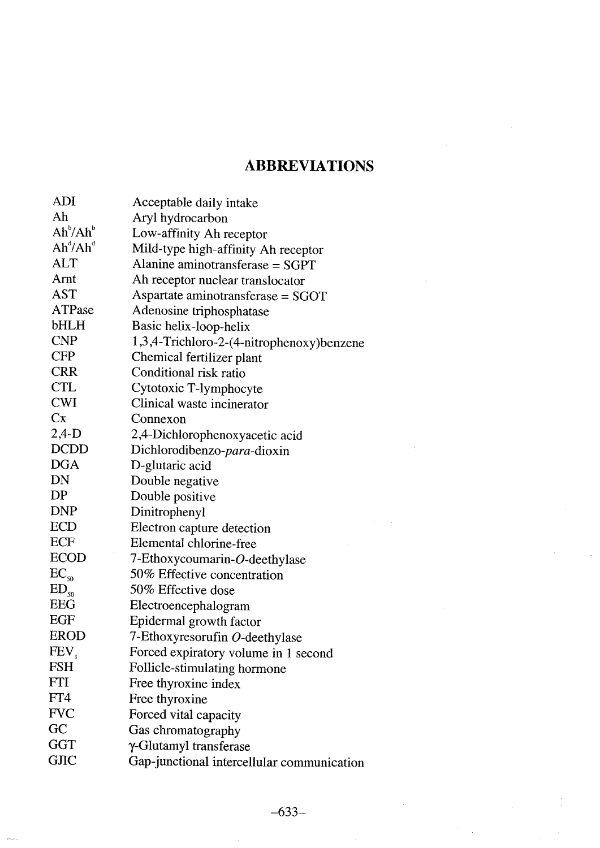## **ABBREVIATIONS**

| ADI                              | Acceptable daily intake                    |
|----------------------------------|--------------------------------------------|
| Ah                               | Aryl hydrocarbon                           |
| Ah <sup>b</sup> /Ah <sup>b</sup> | Low-affinity Ah receptor                   |
| $Ah^{d}/Ah^{d}$                  | Mild-type high-affinity Ah receptor        |
| $\mathop{\mathrm{ALT}}$          | Alanine aminotransferase $=$ SGPT          |
| Arnt                             | Ah receptor nuclear translocator           |
| $\mathop{\rm AST}\nolimits$      | Aspartate aminotransferase = SGOT          |
| <b>ATPase</b>                    | Adenosine triphosphatase                   |
| bHLH                             | Basic helix-loop-helix                     |
| <b>CNP</b>                       | 1,3,4-Trichloro-2-(4-nitrophenoxy)benzene  |
| $\mathrm{CFP}$                   | Chemical fertilizer plant                  |
| <b>CRR</b>                       | Conditional risk ratio                     |
| CTL                              | Cytotoxic T-lymphocyte                     |
| <b>CWI</b>                       | Clinical waste incinerator                 |
| Cx                               | Connexon                                   |
| 2,4-D                            | 2,4-Dichlorophenoxyacetic acid             |
| <b>DCDD</b>                      | Dichlorodibenzo-para-dioxin                |
| <b>DGA</b>                       | D-glutaric acid                            |
| DN                               | Double negative                            |
| DP                               | Double positive                            |
| <b>DNP</b>                       | Dinitrophenyl                              |
| <b>ECD</b>                       | Electron capture detection                 |
| ECF                              | Elemental chlorine-free                    |
| <b>ECOD</b>                      | 7-Ethoxycoumarin-O-deethylase              |
| $EC_{50}$                        | 50% Effective concentration                |
| $ED_{50}$                        | 50% Effective dose                         |
| <b>EEG</b>                       | Electroencephalogram                       |
| EGF                              | Epidermal growth factor                    |
| <b>EROD</b>                      | 7-Ethoxyresorufin O-deethylase             |
| FEV,                             | Forced expiratory volume in 1 second       |
| <b>FSH</b>                       | Follicle-stimulating hormone               |
| FTI                              | Free thyroxine index                       |
| FT4                              | Free thyroxine                             |
| <b>FVC</b>                       | Forced vital capacity                      |
| GC                               | Gas chromatography                         |
| <b>GGT</b>                       | γ-Glutamyl transferase                     |
| <b>GJIC</b>                      | Gap-junctional intercellular communication |
|                                  |                                            |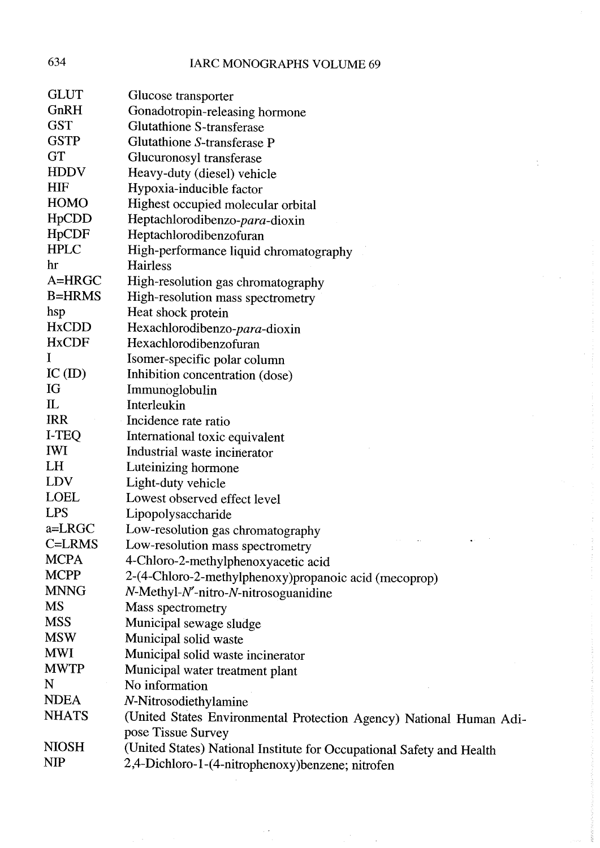| 634                            | <b>IARC MONOGRAPHS VOLUME 69</b>                                      |
|--------------------------------|-----------------------------------------------------------------------|
| <b>GLUT</b>                    | Glucose transporter                                                   |
| GnRH                           | Gonadotropin-releasing hormone                                        |
| <b>GST</b>                     | <b>Glutathione S-transferase</b>                                      |
| <b>GSTP</b>                    | Glutathione S-transferase P                                           |
| <b>GT</b>                      | Glucuronosyl transferase                                              |
| <b>HDDV</b>                    | Heavy-duty (diesel) vehicle                                           |
| <b>HIF</b>                     | Hypoxia-inducible factor                                              |
| <b>HOMO</b>                    | Highest occupied molecular orbital                                    |
| H <sub>p</sub> CD <sub>D</sub> | Heptachlorodibenzo-para-dioxin                                        |
| <b>HpCDF</b>                   | Heptachlorodibenzofuran                                               |
| <b>HPLC</b>                    | High-performance liquid chromatography                                |
| hr                             | Hairless                                                              |
| A=HRGC                         | High-resolution gas chromatography                                    |
| <b>B=HRMS</b>                  | High-resolution mass spectrometry                                     |
| hsp                            | Heat shock protein                                                    |
| <b>HxCDD</b>                   | Hexachlorodibenzo-para-dioxin                                         |
| <b>HxCDF</b>                   | Hexachlorodibenzofuran                                                |
| I                              | Isomer-specific polar column                                          |
| $IC$ (ID)                      | Inhibition concentration (dose)                                       |
| IG                             | Immunoglobulin                                                        |
| $\mathbf{L}$                   | Interleukin                                                           |
| <b>IRR</b>                     | Incidence rate ratio                                                  |
| I-TEQ                          | International toxic equivalent                                        |
| <b>IWI</b>                     | Industrial waste incinerator                                          |
| <b>LH</b>                      | Luteinizing hormone                                                   |
| LDV                            | Light-duty vehicle                                                    |
| <b>LOEL</b>                    | Lowest observed effect level                                          |
| LPS                            | Lipopolysaccharide                                                    |
| a=LRGC                         | Low-resolution gas chromatography                                     |
| C=LRMS                         | Low-resolution mass spectrometry                                      |
| <b>MCPA</b>                    | 4-Chloro-2-methylphenoxyacetic acid                                   |
| <b>MCPP</b>                    | 2-(4-Chloro-2-methylphenoxy) propanoic acid (mecoprop)                |
| <b>MNNG</b>                    | N-Methyl-N'-nitro-N-nitrosoguanidine                                  |
| MS                             | Mass spectrometry                                                     |
| <b>MSS</b>                     | Municipal sewage sludge                                               |
| <b>MSW</b>                     | Municipal solid waste                                                 |
| <b>MWI</b>                     | Municipal solid waste incinerator                                     |
| <b>MWTP</b>                    | Municipal water treatment plant                                       |
| N                              | No information                                                        |
| <b>NDEA</b>                    | N-Nitrosodiethylamine                                                 |
| <b>NHATS</b>                   | (United States Environmental Protection Agency) National Human Adi-   |
|                                | pose Tissue Survey                                                    |
| NIOSH                          | (United States) National Institute for Occupational Safety and Health |
| NIP                            | 2,4-Dichloro-1-(4-nitrophenoxy)benzene; nitrofen                      |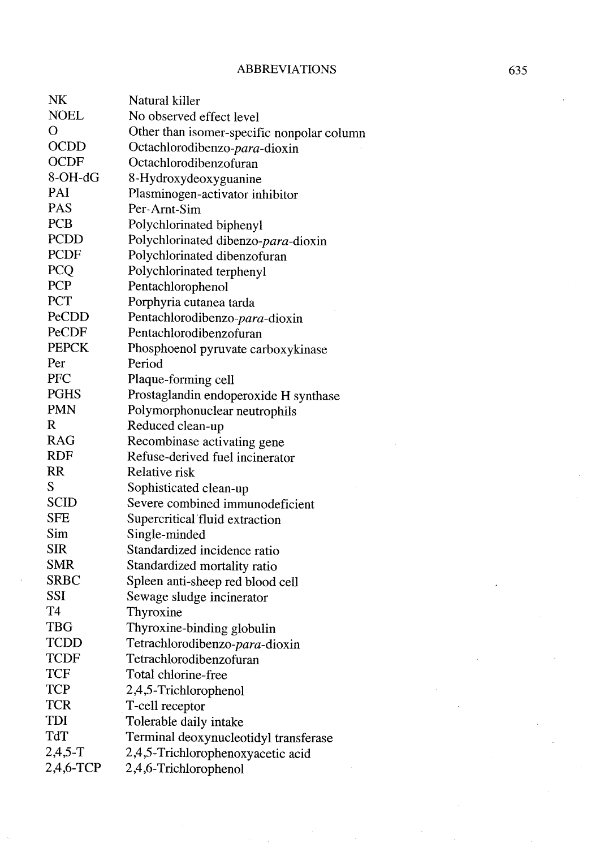| NΚ             | Natural killer                             |
|----------------|--------------------------------------------|
| <b>NOEL</b>    | No observed effect level                   |
| O              | Other than isomer-specific nonpolar column |
| <b>OCDD</b>    | Octachlorodibenzo- <i>para</i> -dioxin     |
| <b>OCDF</b>    | Octachlorodibenzofuran                     |
| $8-OH-dG$      | 8-Hydroxydeoxyguanine                      |
| PAI            | Plasminogen-activator inhibitor            |
| <b>PAS</b>     | Per-Arnt-Sim                               |
| <b>PCB</b>     | Polychlorinated biphenyl                   |
| <b>PCDD</b>    | Polychlorinated dibenzo-para-dioxin        |
| PCDF           | Polychlorinated dibenzofuran               |
| <b>PCQ</b>     | Polychlorinated terphenyl                  |
| <b>PCP</b>     | Pentachlorophenol                          |
| <b>PCT</b>     | Porphyria cutanea tarda                    |
| PeCDD          | Pentachlorodibenzo-para-dioxin             |
| PeCDF          | Pentachlorodibenzofuran                    |
| <b>PEPCK</b>   | Phosphoenol pyruvate carboxykinase         |
| Per            | Period                                     |
| PFC            | Plaque-forming cell                        |
| <b>PGHS</b>    | Prostaglandin endoperoxide H synthase      |
| <b>PMN</b>     | Polymorphonuclear neutrophils              |
| R              | Reduced clean-up                           |
| <b>RAG</b>     | Recombinase activating gene                |
| <b>RDF</b>     | Refuse-derived fuel incinerator            |
| <b>RR</b>      | <b>Relative risk</b>                       |
| S              | Sophisticated clean-up                     |
| <b>SCID</b>    | Severe combined immunodeficient            |
| <b>SFE</b>     | Supercritical fluid extraction             |
| Sim            | Single-minded                              |
| SIR            | Standardized incidence ratio               |
| <b>SMR</b>     | Standardized mortality ratio               |
| <b>SRBC</b>    | Spleen anti-sheep red blood cell           |
| <b>SSI</b>     | Sewage sludge incinerator                  |
| T <sub>4</sub> | Thyroxine                                  |
| <b>TBG</b>     | Thyroxine-binding globulin                 |
| <b>TCDD</b>    | Tetrachlorodibenzo-para-dioxin             |
| TCDF           | Tetrachlorodibenzofuran                    |
| TCF            | Total chlorine-free                        |
| <b>TCP</b>     | 2,4,5-Trichlorophenol                      |
| <b>TCR</b>     | T-cell receptor                            |
| TDI            | Tolerable daily intake                     |
| TdT            | Terminal deoxynucleotidyl transferase      |
| $2,4,5-T$      | 2,4,5-Trichlorophenoxyacetic acid          |
| 2,4,6-TCP      | 2,4,6-Trichlorophenol                      |
|                |                                            |

NK